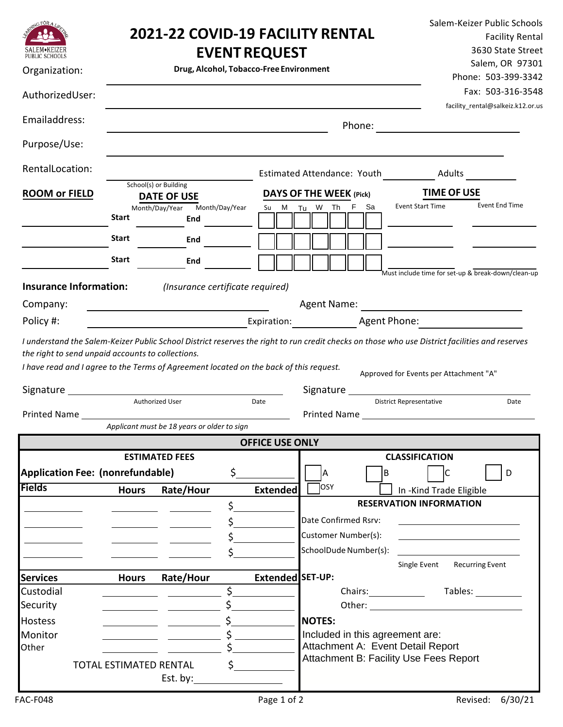| <b>NG FOR A</b><br>PUBLIC SCHOOLS<br>Organization:                                                                                                                                                                            | <b>2021-22 COVID-19 FACILITY RENTAL</b><br><b>EVENT REQUEST</b><br>Drug, Alcohol, Tobacco-Free Environment |                                             |                       |                                |                                                                                                                                                                                                                                                                                                            |                                                       |        |                                 | Salem-Keizer Public Schools<br><b>Facility Rental</b><br>3630 State Street<br>Salem, OR 97301<br>Phone: 503-399-3342 |                                                         |  |
|-------------------------------------------------------------------------------------------------------------------------------------------------------------------------------------------------------------------------------|------------------------------------------------------------------------------------------------------------|---------------------------------------------|-----------------------|--------------------------------|------------------------------------------------------------------------------------------------------------------------------------------------------------------------------------------------------------------------------------------------------------------------------------------------------------|-------------------------------------------------------|--------|---------------------------------|----------------------------------------------------------------------------------------------------------------------|---------------------------------------------------------|--|
| AuthorizedUser:                                                                                                                                                                                                               |                                                                                                            |                                             |                       |                                |                                                                                                                                                                                                                                                                                                            |                                                       |        |                                 |                                                                                                                      | Fax: 503-316-3548<br>facility_rental@salkeiz.k12.or.us  |  |
| Emailaddress:                                                                                                                                                                                                                 |                                                                                                            |                                             |                       |                                |                                                                                                                                                                                                                                                                                                            |                                                       | Phone: |                                 |                                                                                                                      |                                                         |  |
| Purpose/Use:                                                                                                                                                                                                                  |                                                                                                            |                                             |                       |                                |                                                                                                                                                                                                                                                                                                            |                                                       |        |                                 |                                                                                                                      |                                                         |  |
| RentalLocation:                                                                                                                                                                                                               |                                                                                                            | Estimated Attendance: Youth Adults          |                       |                                |                                                                                                                                                                                                                                                                                                            |                                                       |        |                                 |                                                                                                                      |                                                         |  |
| <b>ROOM or FIELD</b>                                                                                                                                                                                                          |                                                                                                            | School(s) or Building<br><b>DATE OF USE</b> |                       | <b>DAYS OF THE WEEK (Pick)</b> |                                                                                                                                                                                                                                                                                                            |                                                       |        |                                 | <b>TIME OF USE</b>                                                                                                   |                                                         |  |
|                                                                                                                                                                                                                               | <b>Start</b>                                                                                               | Month/Day/Year<br>End                       | Month/Day/Year        | Su                             | M Tu W Th F Sa                                                                                                                                                                                                                                                                                             |                                                       |        |                                 | <b>Event Start Time</b>                                                                                              | <b>Event End Time</b>                                   |  |
|                                                                                                                                                                                                                               | <b>Start</b>                                                                                               | End                                         |                       |                                |                                                                                                                                                                                                                                                                                                            |                                                       |        |                                 |                                                                                                                      |                                                         |  |
|                                                                                                                                                                                                                               | <b>Start</b>                                                                                               | End                                         |                       |                                |                                                                                                                                                                                                                                                                                                            |                                                       |        |                                 |                                                                                                                      |                                                         |  |
| <b>Insurance Information:</b>                                                                                                                                                                                                 |                                                                                                            | (Insurance certificate required)            |                       |                                |                                                                                                                                                                                                                                                                                                            |                                                       |        |                                 |                                                                                                                      | Must include time for set-up & break-down/clean-up      |  |
| Company:                                                                                                                                                                                                                      |                                                                                                            |                                             |                       |                                | Agent Name:                                                                                                                                                                                                                                                                                                |                                                       |        |                                 |                                                                                                                      |                                                         |  |
| Policy #:                                                                                                                                                                                                                     | <u> 1980 - Johann Barn, mars an t-Amerikaansk politiker (</u>                                              |                                             |                       |                                |                                                                                                                                                                                                                                                                                                            | Expiration: Agent Phone: Agent 2010 [19] Agent Phone: |        |                                 |                                                                                                                      |                                                         |  |
| Printed Name and the contract of the contract of the contract of the contract of the contract of the contract of the contract of the contract of the contract of the contract of the contract of the contract of the contract |                                                                                                            | Authorized User                             |                       | Date                           | Approved for Events per Attachment "A"<br><b>District Representative</b><br>Printed Name Lawrence and Contract and Contract of the Contract of the Contract of the Contract of the Contract of the Contract of the Contract of the Contract of the Contract of the Contract of the Contract of the Contrac |                                                       |        |                                 | Date                                                                                                                 |                                                         |  |
|                                                                                                                                                                                                                               |                                                                                                            | Applicant must be 18 years or older to sign |                       |                                |                                                                                                                                                                                                                                                                                                            |                                                       |        |                                 |                                                                                                                      |                                                         |  |
| <b>OFFICE USE ONLY</b><br><b>ESTIMATED FEES</b>                                                                                                                                                                               |                                                                                                            |                                             |                       |                                |                                                                                                                                                                                                                                                                                                            | <b>CLASSIFICATION</b>                                 |        |                                 |                                                                                                                      |                                                         |  |
| <b>Application Fee: (nonrefundable)</b>                                                                                                                                                                                       |                                                                                                            |                                             | \$.                   |                                | A<br>lв                                                                                                                                                                                                                                                                                                    |                                                       |        |                                 | lс                                                                                                                   | D                                                       |  |
| <b>Fields</b>                                                                                                                                                                                                                 | <b>Hours</b>                                                                                               | Rate/Hour                                   |                       | <b>Extended</b>                | OSY                                                                                                                                                                                                                                                                                                        |                                                       |        |                                 | In -Kind Trade Eligible                                                                                              |                                                         |  |
|                                                                                                                                                                                                                               |                                                                                                            |                                             | \$                    |                                |                                                                                                                                                                                                                                                                                                            |                                                       |        |                                 | <b>RESERVATION INFORMATION</b>                                                                                       |                                                         |  |
|                                                                                                                                                                                                                               |                                                                                                            |                                             |                       |                                | Date Confirmed Rsrv:                                                                                                                                                                                                                                                                                       |                                                       |        |                                 |                                                                                                                      |                                                         |  |
|                                                                                                                                                                                                                               |                                                                                                            |                                             | \$____                |                                | Customer Number(s):                                                                                                                                                                                                                                                                                        |                                                       |        |                                 |                                                                                                                      | <u> 1989 - Johann Barbara, martin amerikan basar da</u> |  |
|                                                                                                                                                                                                                               |                                                                                                            |                                             | $\mathsf{S}_-$        |                                | SchoolDude Number(s):                                                                                                                                                                                                                                                                                      |                                                       |        |                                 |                                                                                                                      |                                                         |  |
| <b>Services</b>                                                                                                                                                                                                               | <b>Hours</b>                                                                                               | <b>Rate/Hour</b>                            |                       | Extended SET-UP:               |                                                                                                                                                                                                                                                                                                            |                                                       |        |                                 | Single Event Recurring Event                                                                                         |                                                         |  |
| Custodial                                                                                                                                                                                                                     |                                                                                                            |                                             | \$                    |                                |                                                                                                                                                                                                                                                                                                            |                                                       |        |                                 |                                                                                                                      | Chairs: Tables: Chairs:                                 |  |
| Security                                                                                                                                                                                                                      |                                                                                                            |                                             |                       |                                |                                                                                                                                                                                                                                                                                                            |                                                       |        |                                 |                                                                                                                      |                                                         |  |
| <b>Hostess</b>                                                                                                                                                                                                                |                                                                                                            |                                             |                       |                                | <b>NOTES:</b>                                                                                                                                                                                                                                                                                              |                                                       |        |                                 |                                                                                                                      |                                                         |  |
| Monitor                                                                                                                                                                                                                       |                                                                                                            |                                             |                       |                                |                                                                                                                                                                                                                                                                                                            |                                                       |        | Included in this agreement are: |                                                                                                                      |                                                         |  |
| Other                                                                                                                                                                                                                         |                                                                                                            |                                             |                       |                                |                                                                                                                                                                                                                                                                                                            |                                                       |        |                                 | Attachment A: Event Detail Report                                                                                    |                                                         |  |
|                                                                                                                                                                                                                               | TOTAL ESTIMATED RENTAL                                                                                     | Est. by: $\qquad \qquad$                    | $\sharp$ and $\sharp$ |                                |                                                                                                                                                                                                                                                                                                            |                                                       |        |                                 | Attachment B: Facility Use Fees Report                                                                               |                                                         |  |